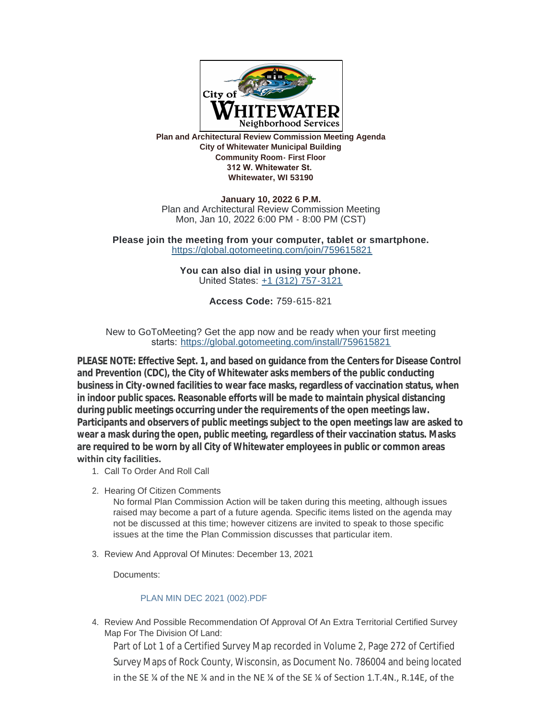

**Plan and Architectural Review Commission Meeting Agenda City of Whitewater Municipal Building Community Room- First Floor 312 W. Whitewater St. Whitewater, WI 53190**

**January 10, 2022 6 P.M.** Plan and Architectural Review Commission Meeting Mon, Jan 10, 2022 6:00 PM - 8:00 PM (CST)

**Please join the meeting from your computer, tablet or smartphone.** <https://global.gotomeeting.com/join/759615821>

> **You can also dial in using your phone.** United States: [+1 \(312\) 757-3121](tel:+13127573121,,759615821)

> > **Access Code:** 759-615-821

New to GoToMeeting? Get the app now and be ready when your first meeting starts: <https://global.gotomeeting.com/install/759615821>

**PLEASE NOTE: Effective Sept. 1, and based on guidance from the Centers for Disease Control and Prevention (CDC), the City of Whitewater asks members of the public conducting business in City-owned facilities to wear face masks, regardless of vaccination status, when in indoor public spaces. Reasonable efforts will be made to maintain physical distancing during public meetings occurring under the requirements of the open meetings law. Participants and observers of public meetings subject to the open meetings law are asked to wear a mask during the open, public meeting, regardless of their vaccination status. Masks are required to be worn by all City of Whitewater employees in public or common areas within city facilities.** 

- 1. Call To Order And Roll Call
- 2. Hearing Of Citizen Comments

No formal Plan Commission Action will be taken during this meeting, although issues raised may become a part of a future agenda. Specific items listed on the agenda may not be discussed at this time; however citizens are invited to speak to those specific issues at the time the Plan Commission discusses that particular item.

3. Review And Approval Of Minutes: December 13, 2021

Documents:

## [PLAN MIN DEC 2021 \(002\).PDF](https://www.whitewater-wi.gov/AgendaCenter/ViewFile/Item/5189?fileID=11032)

4. Review And Possible Recommendation Of Approval Of An Extra Territorial Certified Survey Map For The Division Of Land:

Part of Lot 1 of a Certified Survey Map recorded in Volume 2, Page 272 of Certified Survey Maps of Rock County, Wisconsin, as Document No. 786004 and being located in the SE ¼ of the NE ¼ and in the NE ¼ of the SE ¼ of Section 1.T.4N., R.14E, of the